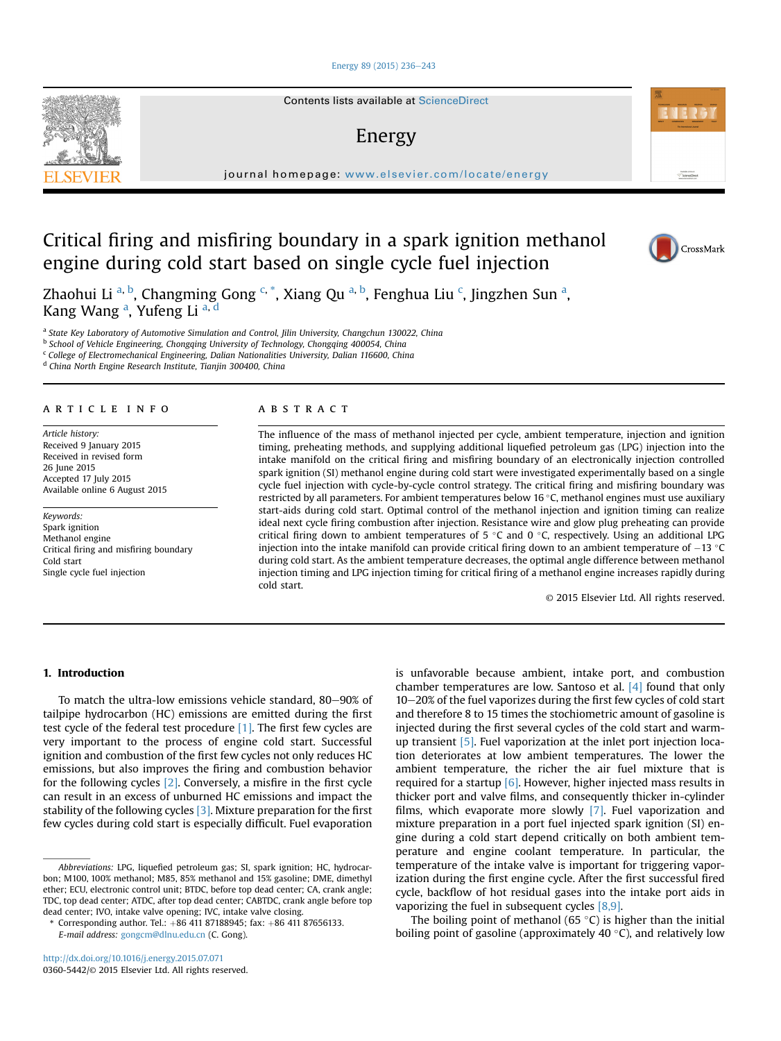### [Energy 89 \(2015\) 236](http://dx.doi.org/10.1016/j.energy.2015.07.071)-[243](http://dx.doi.org/10.1016/j.energy.2015.07.071)

Contents lists available at ScienceDirect

# Energy

journal homepage: [www.elsevier.com/locate/energy](http://www.elsevier.com/locate/energy)

# Critical firing and misfiring boundary in a spark ignition methanol engine during cold start based on single cycle fuel injection

Zhaohui Li <sup>a, b</sup>, Changming Gong <sup>c, \*</sup>, Xiang Qu <sup>a, b</sup>, Fenghua Liu <sup>c</sup>, Jingzhen Sun <sup>a</sup>, Kang Wang <sup>a</sup>, Yufeng Li <sup>a, d</sup>

a State Key Laboratory of Automotive Simulation and Control, Jilin University, Changchun 130022, China

b School of Vehicle Engineering, Chongqing University of Technology, Chongqing 400054, China

 $c$  College of Electromechanical Engineering, Dalian Nationalities University, Dalian 116600, China

<sup>d</sup> China North Engine Research Institute, Tianjin 300400, China

## article info

Article history: Received 9 January 2015 Received in revised form 26 June 2015 Accepted 17 July 2015 Available online 6 August 2015

Keywords: Spark ignition Methanol engine Critical firing and misfiring boundary Cold start Single cycle fuel injection

#### **ABSTRACT**

The influence of the mass of methanol injected per cycle, ambient temperature, injection and ignition timing, preheating methods, and supplying additional liquefied petroleum gas (LPG) injection into the intake manifold on the critical firing and misfiring boundary of an electronically injection controlled spark ignition (SI) methanol engine during cold start were investigated experimentally based on a single cycle fuel injection with cycle-by-cycle control strategy. The critical firing and misfiring boundary was restricted by all parameters. For ambient temperatures below 16 °C, methanol engines must use auxiliary start-aids during cold start. Optimal control of the methanol injection and ignition timing can realize ideal next cycle firing combustion after injection. Resistance wire and glow plug preheating can provide critical firing down to ambient temperatures of 5  $\degree$ C and 0  $\degree$ C, respectively. Using an additional LPG injection into the intake manifold can provide critical firing down to an ambient temperature of  $-13$  °C during cold start. As the ambient temperature decreases, the optimal angle difference between methanol injection timing and LPG injection timing for critical firing of a methanol engine increases rapidly during cold start.

© 2015 Elsevier Ltd. All rights reserved.

### 1. Introduction

To match the ultra-low emissions vehicle standard, 80-90% of tailpipe hydrocarbon (HC) emissions are emitted during the first test cycle of the federal test procedure  $[1]$ . The first few cycles are very important to the process of engine cold start. Successful ignition and combustion of the first few cycles not only reduces HC emissions, but also improves the firing and combustion behavior for the following cycles [\[2\].](#page--1-0) Conversely, a misfire in the first cycle can result in an excess of unburned HC emissions and impact the stability of the following cycles [\[3\]](#page--1-0). Mixture preparation for the first few cycles during cold start is especially difficult. Fuel evaporation is unfavorable because ambient, intake port, and combustion chamber temperatures are low. Santoso et al.  $[4]$  found that only  $10-20%$  of the fuel vaporizes during the first few cycles of cold start and therefore 8 to 15 times the stochiometric amount of gasoline is injected during the first several cycles of the cold start and warmup transient [\[5\].](#page--1-0) Fuel vaporization at the inlet port injection location deteriorates at low ambient temperatures. The lower the ambient temperature, the richer the air fuel mixture that is required for a startup  $[6]$ . However, higher injected mass results in thicker port and valve films, and consequently thicker in-cylinder films, which evaporate more slowly [\[7\]](#page--1-0). Fuel vaporization and mixture preparation in a port fuel injected spark ignition (SI) engine during a cold start depend critically on both ambient temperature and engine coolant temperature. In particular, the temperature of the intake valve is important for triggering vaporization during the first engine cycle. After the first successful fired cycle, backflow of hot residual gases into the intake port aids in vaporizing the fuel in subsequent cycles [\[8,9\]](#page--1-0).

The boiling point of methanol (65 $\degree$ C) is higher than the initial boiling point of gasoline (approximately 40 $\degree$ C), and relatively low







Abbreviations: LPG, liquefied petroleum gas; SI, spark ignition; HC, hydrocarbon; M100, 100% methanol; M85, 85% methanol and 15% gasoline; DME, dimethyl ether; ECU, electronic control unit; BTDC, before top dead center; CA, crank angle; TDC, top dead center; ATDC, after top dead center; CABTDC, crank angle before top dead center; IVO, intake valve opening; IVC, intake valve closing.

Corresponding author. Tel.:  $+86$  411 87188945; fax:  $+86$  411 87656133. E-mail address: [gongcm@dlnu.edu.cn](mailto:gongcm@dlnu.edu.cn) (C. Gong).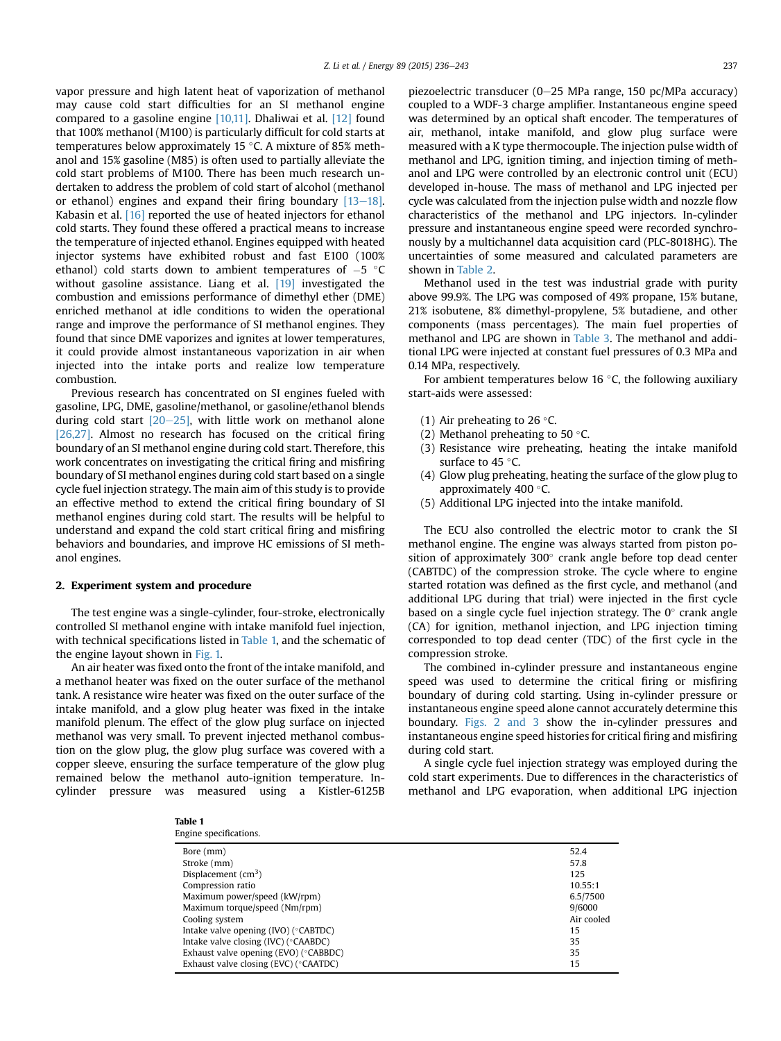vapor pressure and high latent heat of vaporization of methanol may cause cold start difficulties for an SI methanol engine compared to a gasoline engine [\[10,11\]](#page--1-0). Dhaliwai et al. [\[12\]](#page--1-0) found that 100% methanol (M100) is particularly difficult for cold starts at temperatures below approximately 15  $\degree$ C. A mixture of 85% methanol and 15% gasoline (M85) is often used to partially alleviate the cold start problems of M100. There has been much research undertaken to address the problem of cold start of alcohol (methanol or ethanol) engines and expand their firing boundary  $[13-18]$  $[13-18]$ . Kabasin et al. [\[16\]](#page--1-0) reported the use of heated injectors for ethanol cold starts. They found these offered a practical means to increase the temperature of injected ethanol. Engines equipped with heated injector systems have exhibited robust and fast E100 (100% ethanol) cold starts down to ambient temperatures of  $-5$  °C without gasoline assistance. Liang et al. [\[19\]](#page--1-0) investigated the combustion and emissions performance of dimethyl ether (DME) enriched methanol at idle conditions to widen the operational range and improve the performance of SI methanol engines. They found that since DME vaporizes and ignites at lower temperatures, it could provide almost instantaneous vaporization in air when injected into the intake ports and realize low temperature combustion.

Previous research has concentrated on SI engines fueled with gasoline, LPG, DME, gasoline/methanol, or gasoline/ethanol blends during cold start  $[20-25]$  $[20-25]$ , with little work on methanol alone [\[26,27\]](#page--1-0). Almost no research has focused on the critical firing boundary of an SI methanol engine during cold start. Therefore, this work concentrates on investigating the critical firing and misfiring boundary of SI methanol engines during cold start based on a single cycle fuel injection strategy. The main aim of this study is to provide an effective method to extend the critical firing boundary of SI methanol engines during cold start. The results will be helpful to understand and expand the cold start critical firing and misfiring behaviors and boundaries, and improve HC emissions of SI methanol engines.

#### 2. Experiment system and procedure

The test engine was a single-cylinder, four-stroke, electronically controlled SI methanol engine with intake manifold fuel injection, with technical specifications listed in Table 1, and the schematic of the engine layout shown in [Fig. 1.](#page--1-0)

An air heater was fixed onto the front of the intake manifold, and a methanol heater was fixed on the outer surface of the methanol tank. A resistance wire heater was fixed on the outer surface of the intake manifold, and a glow plug heater was fixed in the intake manifold plenum. The effect of the glow plug surface on injected methanol was very small. To prevent injected methanol combustion on the glow plug, the glow plug surface was covered with a copper sleeve, ensuring the surface temperature of the glow plug remained below the methanol auto-ignition temperature. Incylinder pressure was measured using a Kistler-6125B

Table 1

piezoelectric transducer (0-25 MPa range, 150 pc/MPa accuracy) coupled to a WDF-3 charge amplifier. Instantaneous engine speed was determined by an optical shaft encoder. The temperatures of air, methanol, intake manifold, and glow plug surface were measured with a K type thermocouple. The injection pulse width of methanol and LPG, ignition timing, and injection timing of methanol and LPG were controlled by an electronic control unit (ECU) developed in-house. The mass of methanol and LPG injected per cycle was calculated from the injection pulse width and nozzle flow characteristics of the methanol and LPG injectors. In-cylinder pressure and instantaneous engine speed were recorded synchronously by a multichannel data acquisition card (PLC-8018HG). The uncertainties of some measured and calculated parameters are shown in [Table 2.](#page--1-0)

Methanol used in the test was industrial grade with purity above 99.9%. The LPG was composed of 49% propane, 15% butane, 21% isobutene, 8% dimethyl-propylene, 5% butadiene, and other components (mass percentages). The main fuel properties of methanol and LPG are shown in [Table 3](#page--1-0). The methanol and additional LPG were injected at constant fuel pressures of 0.3 MPa and 0.14 MPa, respectively.

For ambient temperatures below 16 $\degree$ C, the following auxiliary start-aids were assessed:

- (1) Air preheating to 26  $\degree$ C.
- (2) Methanol preheating to 50 $\degree$ C.
- (3) Resistance wire preheating, heating the intake manifold surface to 45 °C.
- (4) Glow plug preheating, heating the surface of the glow plug to approximately 400 $\degree$ C.
- (5) Additional LPG injected into the intake manifold.

The ECU also controlled the electric motor to crank the SI methanol engine. The engine was always started from piston position of approximately  $300^\circ$  crank angle before top dead center (CABTDC) of the compression stroke. The cycle where to engine started rotation was defined as the first cycle, and methanol (and additional LPG during that trial) were injected in the first cycle based on a single cycle fuel injection strategy. The  $0^\circ$  crank angle (CA) for ignition, methanol injection, and LPG injection timing corresponded to top dead center (TDC) of the first cycle in the compression stroke.

The combined in-cylinder pressure and instantaneous engine speed was used to determine the critical firing or misfiring boundary of during cold starting. Using in-cylinder pressure or instantaneous engine speed alone cannot accurately determine this boundary. [Figs. 2 and 3](#page--1-0) show the in-cylinder pressures and instantaneous engine speed histories for critical firing and misfiring during cold start.

A single cycle fuel injection strategy was employed during the cold start experiments. Due to differences in the characteristics of methanol and LPG evaporation, when additional LPG injection

| Engine specifications.                          |            |
|-------------------------------------------------|------------|
| Bore (mm)                                       | 52.4       |
| Stroke (mm)                                     | 57.8       |
| Displacement $\rm (cm^3)$                       | 125        |
| Compression ratio                               | 10.55:1    |
| Maximum power/speed (kW/rpm)                    | 6.5/7500   |
| Maximum torque/speed (Nm/rpm)                   | 9/6000     |
| Cooling system                                  | Air cooled |
| Intake valve opening (IVO) (°CABTDC)            | 15         |
| Intake valve closing (IVC) (°CAABDC)            | 35         |
| Exhaust valve opening (EVO) (°CABBDC)           | 35         |
| Exhaust valve closing (EVC) ( $\degree$ CAATDC) | 15         |